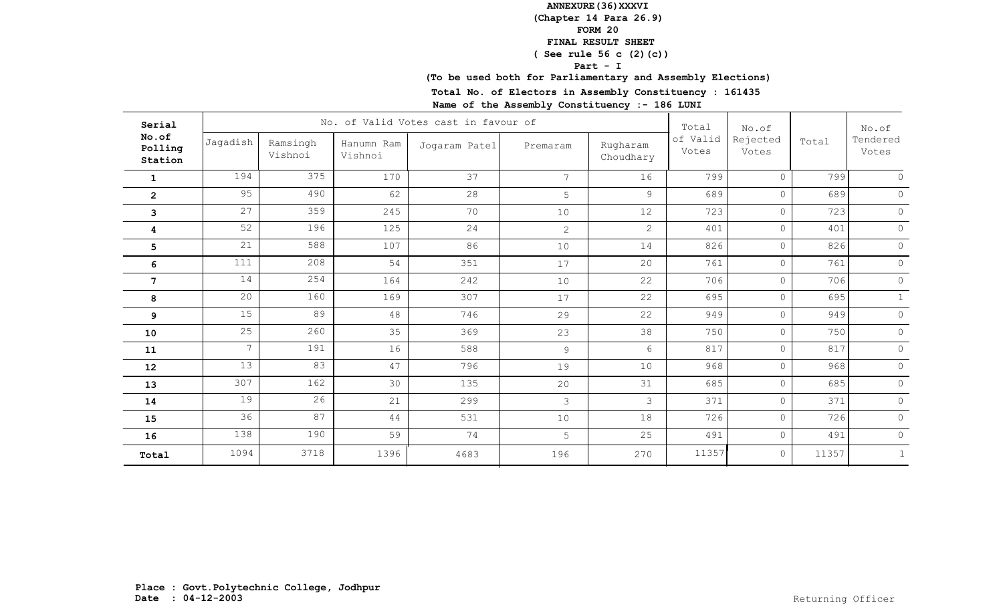## **(To be used both for Parliamentary and Assembly Elections)**

**Total No. of Electors in Assembly Constituency : 161435**

| Serial                      |                 |                     |                       | No. of Valid Votes cast in favour of |                 |                       | Total             | No.of             |       | No.of<br>Tendered<br>Votes |
|-----------------------------|-----------------|---------------------|-----------------------|--------------------------------------|-----------------|-----------------------|-------------------|-------------------|-------|----------------------------|
| No.of<br>Polling<br>Station | Jagadish        | Ramsingh<br>Vishnoi | Hanumn Ram<br>Vishnoi | Jogaram Patel                        | Premaram        | Rugharam<br>Choudhary | of Valid<br>Votes | Rejected<br>Votes | Total |                            |
| $\mathbf{1}$                | 194             | 375                 | 170                   | 37                                   | $7\overline{ }$ | 16                    | 799               | $\Omega$          | 799   |                            |
| $\overline{2}$              | 95              | 490                 | 62                    | 28                                   | 5               | 9                     | 689               | $\circ$           | 689   | $\Omega$                   |
| 3                           | 27              | 359                 | 245                   | 70                                   | 10              | 12                    | 723               | $\circ$           | 723   | $\Omega$                   |
| 4                           | 52              | 196                 | 125                   | 24                                   | $\overline{2}$  | $\overline{2}$        | 401               | $\circ$           | 401   | $\Omega$                   |
| 5                           | 21              | 588                 | 107                   | 86                                   | 10              | 14                    | 826               | $\circ$           | 826   | $\circ$                    |
| 6                           | 111             | 208                 | 54                    | 351                                  | 17              | 20                    | 761               | $\circ$           | 761   | $\circ$                    |
| $7\phantom{.}$              | 14              | 254                 | 164                   | 242                                  | 10              | 22                    | 706               | $\circ$           | 706   | $\Omega$                   |
| 8                           | 20              | 160                 | 169                   | 307                                  | 17              | 22                    | 695               | $\circ$           | 695   | $\mathbf{1}$               |
| 9                           | 15              | 89                  | 48                    | 746                                  | 29              | 22                    | 949               | $\circ$           | 949   | $\Omega$                   |
| 10                          | 25              | 260                 | 35                    | 369                                  | 23              | 38                    | 750               | $\circ$           | 750   | $\circ$                    |
| 11                          | $7\overline{ }$ | 191                 | 16                    | 588                                  | 9               | 6                     | 817               | $\circ$           | 817   | $\circ$                    |
| 12                          | 13              | 83                  | 47                    | 796                                  | 19              | 10                    | 968               | $\circ$           | 968   | $\Omega$                   |
| 13                          | 307             | 162                 | 30                    | 135                                  | 20              | 31                    | 685               | $\circ$           | 685   | $\circ$                    |
| 14                          | 19              | 26                  | 21                    | 299                                  | 3               | 3                     | 371               | $\circ$           | 371   | $\Omega$                   |
| 15                          | 36              | 87                  | 44                    | 531                                  | 10              | 18                    | 726               | $\circ$           | 726   | $\circ$                    |
| 16                          | 138             | 190                 | 59                    | 74                                   | 5               | 25                    | 491               | $\circ$           | 491   | $\circ$                    |
| Total                       | 1094            | 3718                | 1396                  | 4683                                 | 196             | 270                   | 11357             | $\circ$           | 11357 | 1                          |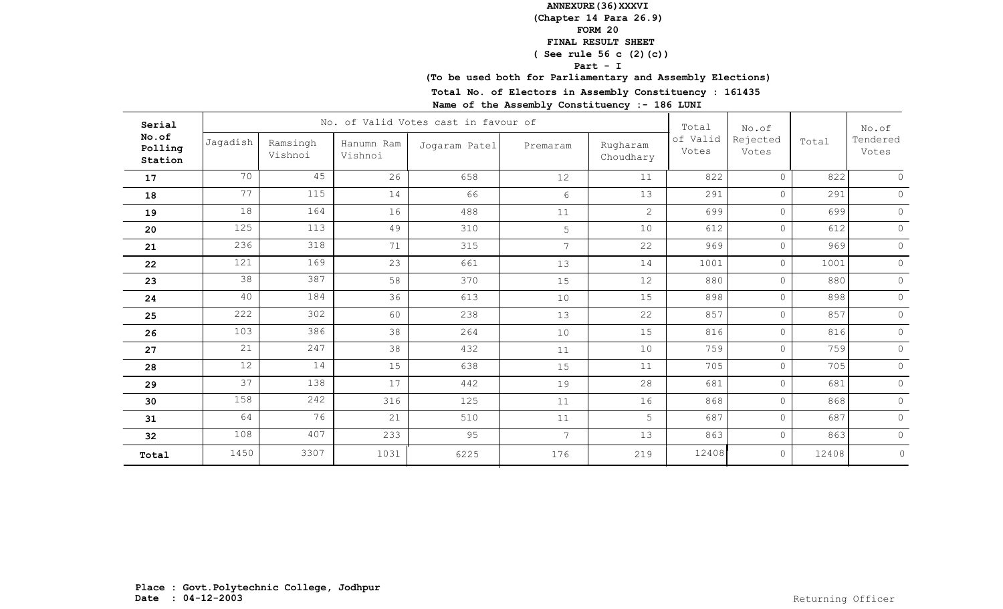## **(To be used both for Parliamentary and Assembly Elections)**

**Total No. of Electors in Assembly Constituency : 161435**

| Serial                      |          |                     |                       | No. of Valid Votes cast in favour of |                 |                       | Total             | No.of             |       | No.of             |
|-----------------------------|----------|---------------------|-----------------------|--------------------------------------|-----------------|-----------------------|-------------------|-------------------|-------|-------------------|
| No.of<br>Polling<br>Station | Jagadish | Ramsingh<br>Vishnoi | Hanumn Ram<br>Vishnoi | Jogaram Patel                        | Premaram        | Rugharam<br>Choudhary | of Valid<br>Votes | Rejected<br>Votes | Total | Tendered<br>Votes |
| 17                          | 70       | 45                  | 26                    | 658                                  | 12              | 11                    | 822               | $\circ$           | 822   | $\cap$            |
| 18                          | 77       | 115                 | 14                    | 66                                   | 6               | 13                    | 291               | $\circ$           | 291   | $\Omega$          |
| 19                          | 18       | 164                 | 16                    | 488                                  | 11              | $\overline{2}$        | 699               | $\circ$           | 699   | $\circ$           |
| 20                          | 125      | 113                 | 49                    | 310                                  | 5               | 10                    | 612               | $\circ$           | 612   | $\circ$           |
| 21                          | 236      | 318                 | 71                    | 315                                  | 7 <sup>7</sup>  | 22                    | 969               | $\circ$           | 969   | $\circ$           |
| 22                          | 121      | 169                 | 23                    | 661                                  | 13              | 14                    | 1001              | $\circ$           | 1001  | $\circ$           |
| 23                          | 38       | 387                 | 58                    | 370                                  | 15              | 12                    | 880               | $\circ$           | 880   | $\circ$           |
| 24                          | 40       | 184                 | 36                    | 613                                  | 10              | 15                    | 898               | $\circ$           | 898   | $\circ$           |
| 25                          | 222      | 302                 | 60                    | 238                                  | 13              | 22                    | 857               | $\circ$           | 857   | $\circ$           |
| 26                          | 103      | 386                 | 38                    | 264                                  | 10              | 15                    | 816               | $\circ$           | 816   | $\circ$           |
| 27                          | 21       | 247                 | 38                    | 432                                  | 11              | 10                    | 759               | $\circ$           | 759   | $\circ$           |
| 28                          | 12       | 14                  | 15                    | 638                                  | 15              | 11                    | 705               | $\circ$           | 705   | $\circ$           |
| 29                          | 37       | 138                 | 17                    | 442                                  | 19              | 28                    | 681               | $\circ$           | 681   | $\circ$           |
| 30                          | 158      | 242                 | 316                   | 125                                  | 11              | 16                    | 868               | $\circ$           | 868   | $\circ$           |
| 31                          | 64       | 76                  | 21                    | 510                                  | 11              | 5                     | 687               | $\circ$           | 687   | $\circ$           |
| 32                          | 108      | 407                 | 233                   | 95                                   | $7\overline{ }$ | 13                    | 863               | $\circ$           | 863   | $\circ$           |
| Total                       | 1450     | 3307                | 1031                  | 6225                                 | 176             | 219                   | 12408             | $\circ$           | 12408 | $\circ$           |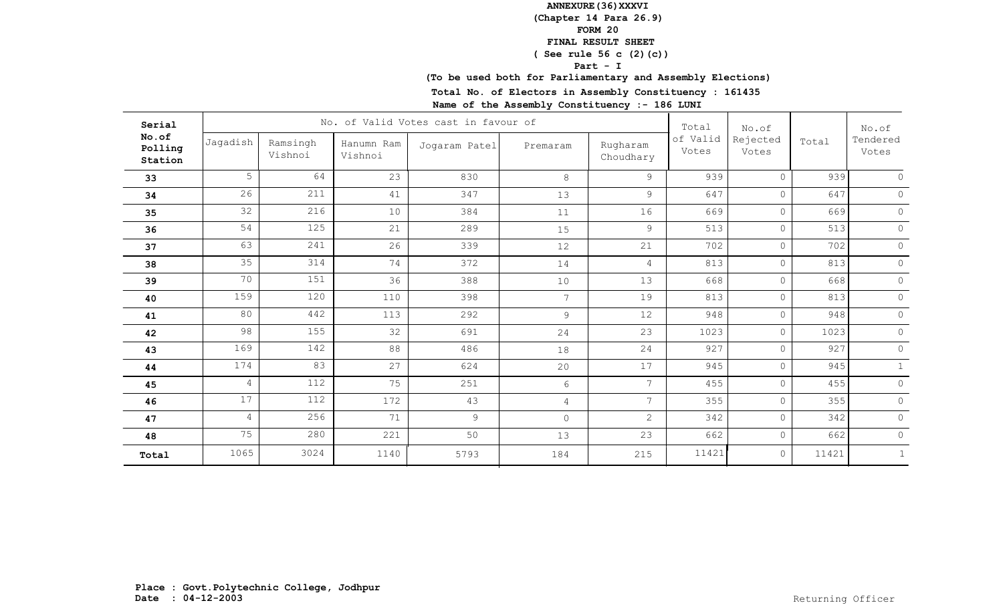## **(To be used both for Parliamentary and Assembly Elections)**

**Total No. of Electors in Assembly Constituency : 161435**

| Serial                      |                |                     |                       | No. of Valid Votes cast in favour of |                |                       | Total             | No.of             |       | No.of<br>Tendered<br>Votes |
|-----------------------------|----------------|---------------------|-----------------------|--------------------------------------|----------------|-----------------------|-------------------|-------------------|-------|----------------------------|
| No.of<br>Polling<br>Station | Jagadish       | Ramsingh<br>Vishnoi | Hanumn Ram<br>Vishnoi | Jogaram Patel                        | Premaram       | Rugharam<br>Choudhary | of Valid<br>Votes | Rejected<br>Votes | Total |                            |
| 33                          | $5 -$          | 64                  | 23                    | 830                                  | 8              | 9                     | 939               | $\Omega$          | 939   |                            |
| 34                          | 26             | 211                 | 41                    | 347                                  | 13             | 9                     | 647               | $\circ$           | 647   | $\Omega$                   |
| 35                          | 32             | 216                 | 10                    | 384                                  | 11             | 16                    | 669               | $\circ$           | 669   | $\circ$                    |
| 36                          | 54             | 125                 | 21                    | 289                                  | 15             | 9                     | 513               | $\circ$           | 513   | $\Omega$                   |
| 37                          | 63             | 241                 | 26                    | 339                                  | 12             | 21                    | 702               | $\circ$           | 702   | $\circ$                    |
| 38                          | 35             | 314                 | 74                    | 372                                  | 14             | $\overline{4}$        | 813               | $\circ$           | 813   | $\circ$                    |
| 39                          | 70             | 151                 | 36                    | 388                                  | 10             | 13                    | 668               | $\circ$           | 668   | $\Omega$                   |
| 40                          | 159            | 120                 | 110                   | 398                                  | 7 <sup>7</sup> | 19                    | 813               | $\circ$           | 813   | $\circ$                    |
| 41                          | 80             | 442                 | 113                   | 292                                  | 9              | 12                    | 948               | $\circ$           | 948   | $\circ$                    |
| 42                          | 98             | 155                 | 32                    | 691                                  | 24             | 23                    | 1023              | $\circ$           | 1023  | $\circ$                    |
| 43                          | 169            | 142                 | 88                    | 486                                  | 18             | 24                    | 927               | $\circ$           | 927   | $\circ$                    |
| 44                          | 174            | 83                  | 27                    | 624                                  | 20             | 17                    | 945               | $\circ$           | 945   | $\mathbf{1}$               |
| 45                          | $\overline{4}$ | 112                 | 75                    | 251                                  | 6              | $7\overline{ }$       | 455               | $\circ$           | 455   | $\circ$                    |
| 46                          | 17             | 112                 | 172                   | 43                                   | $\overline{4}$ | $7^{\circ}$           | 355               | $\circ$           | 355   | $\Omega$                   |
| 47                          | $\overline{4}$ | 256                 | 71                    | $\overline{9}$                       | $\circ$        | $\overline{2}$        | 342               | $\circ$           | 342   | $\circ$                    |
| 48                          | 75             | 280                 | 221                   | 50                                   | 13             | 23                    | 662               | $\circ$           | 662   | $\circ$                    |
| Total                       | 1065           | 3024                | 1140                  | 5793                                 | 184            | 215                   | 11421             | $\circ$           | 11421 | 1                          |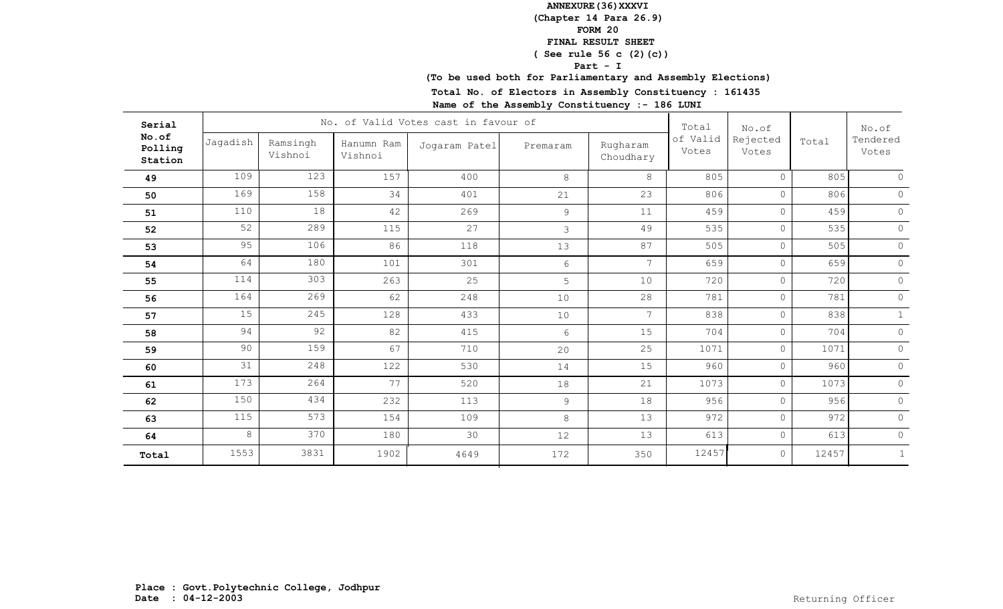## **(To be used both for Parliamentary and Assembly Elections)**

**Total No. of Electors in Assembly Constituency : 161435**

| Serial                      |          |                     |                       | No. of Valid Votes cast in favour of |                |                       | Total             | No.of             |       | No.of<br>Tendered<br>Votes |
|-----------------------------|----------|---------------------|-----------------------|--------------------------------------|----------------|-----------------------|-------------------|-------------------|-------|----------------------------|
| No.of<br>Polling<br>Station | Jagadish | Ramsingh<br>Vishnoi | Hanumn Ram<br>Vishnoi | Jogaram Patel                        | Premaram       | Rugharam<br>Choudhary | of Valid<br>Votes | Rejected<br>Votes | Total |                            |
| 49                          | 109      | 123                 | 157                   | 400                                  | 8              | 8                     | 805               | $\Omega$          | 805   | $\circ$                    |
| 50                          | 169      | 158                 | 34                    | 401                                  | 21             | 23                    | 806               | $\bigcap$         | 806   | $\circ$                    |
| 51                          | 110      | 18                  | 42                    | 269                                  | $\overline{9}$ | 11                    | 459               | $\Omega$          | 459   | $\circ$                    |
| 52                          | 52       | 289                 | 115                   | 27                                   | $\mathfrak{Z}$ | 49                    | 535               | $\Omega$          | 535   | $\circ$                    |
| 53                          | 95       | 106                 | 86                    | 118                                  | 13             | 87                    | 505               | $\Omega$          | 505   | $\mathsf{O}\xspace$        |
| 54                          | 64       | 180                 | 101                   | 301                                  | 6              | $\overline{7}$        | 659               | $\Omega$          | 659   | $\circ$                    |
| 55                          | 114      | 303                 | 263                   | 25                                   | 5              | 10                    | 720               | $\Omega$          | 720   | $\circledcirc$             |
| 56                          | 164      | 269                 | 62                    | 248                                  | 10             | 28                    | 781               | $\Omega$          | 781   | $\circ$                    |
| 57                          | 15       | 245                 | 128                   | 433                                  | 10             | $7\phantom{.0}$       | 838               | $\Omega$          | 838   | 1                          |
| 58                          | 94       | 92                  | 82                    | 415                                  | 6              | 15                    | 704               | $\Omega$          | 704   | $\circ$                    |
| 59                          | 90       | 159                 | 67                    | 710                                  | 20             | 25                    | 1071              | $\Omega$          | 1071  | $\mathsf{O}$               |
| 60                          | 31       | 248                 | 122                   | 530                                  | 14             | 15                    | 960               | $\Omega$          | 960   | $\circ$                    |
| 61                          | 173      | 264                 | 77                    | 520                                  | 18             | 21                    | 1073              | $\Omega$          | 1073  | $\circ$                    |
| 62                          | 150      | 434                 | 232                   | 113                                  | 9              | 18                    | 956               | $\Omega$          | 956   | $\circ$                    |
| 63                          | 115      | 573                 | 154                   | 109                                  | 8              | 13                    | 972               | $\Omega$          | 972   | $\circ$                    |
| 64                          | 8        | 370                 | 180                   | 30                                   | 12             | 13                    | 613               | $\Omega$          | 613   | $\circ$                    |
| Total                       | 1553     | 3831                | 1902                  | 4649                                 | 172            | 350                   | 12457             | $\Omega$          | 12457 | $\mathbf 1$                |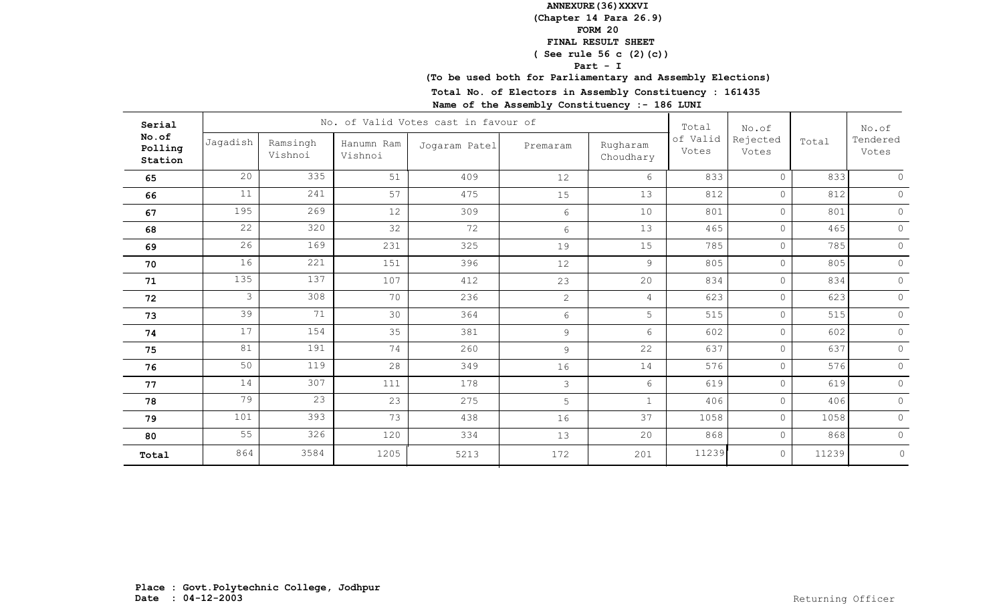## **(To be used both for Parliamentary and Assembly Elections)**

**Total No. of Electors in Assembly Constituency : 161435**

| Serial                      |               |                     |                       | No. of Valid Votes cast in favour of |                |                       | Total             | No.of             |       | No.of<br>Tendered<br>Votes |
|-----------------------------|---------------|---------------------|-----------------------|--------------------------------------|----------------|-----------------------|-------------------|-------------------|-------|----------------------------|
| No.of<br>Polling<br>Station | Jagadish      | Ramsingh<br>Vishnoi | Hanumn Ram<br>Vishnoi | Jogaram Patel                        | Premaram       | Rugharam<br>Choudhary | of Valid<br>Votes | Rejected<br>Votes | Total |                            |
| 65                          | 20            | 335                 | 51                    | 409                                  | 12             | 6                     | 833               | $\Omega$          | 833   |                            |
| 66                          | 11            | 241                 | 57                    | 475                                  | 15             | 13                    | 812               | $\circ$           | 812   | $\Omega$                   |
| 67                          | 195           | 269                 | 12                    | 309                                  | 6              | 10                    | 801               | $\circ$           | 801   | $\circ$                    |
| 68                          | 22            | 320                 | 32                    | 72                                   | 6              | 13                    | 465               | $\circ$           | 465   | $\circ$                    |
| 69                          | 26            | 169                 | 231                   | 325                                  | 19             | 15                    | 785               | $\circ$           | 785   | $\circ$                    |
| 70                          | 16            | 221                 | 151                   | 396                                  | 12             | 9                     | 805               | $\circ$           | 805   | $\circ$                    |
| 71                          | 135           | 137                 | 107                   | 412                                  | 23             | 20                    | 834               | $\circ$           | 834   | $\Omega$                   |
| 72                          | $\mathcal{S}$ | 308                 | 70                    | 236                                  | $\overline{2}$ | $\overline{4}$        | 623               | $\circ$           | 623   | $\circ$                    |
| 73                          | 39            | 71                  | 30                    | 364                                  | 6              | 5                     | 515               | $\circ$           | 515   | $\circ$                    |
| 74                          | 17            | 154                 | 35                    | 381                                  | 9              | 6                     | 602               | $\circ$           | 602   | $\circledcirc$             |
| 75                          | 81            | 191                 | 74                    | 260                                  | 9              | 22                    | 637               | $\circ$           | 637   | $\circ$                    |
| 76                          | 50            | 119                 | 28                    | 349                                  | 16             | 14                    | 576               | $\circ$           | 576   | $\circ$                    |
| 77                          | 14            | 307                 | 111                   | 178                                  | 3              | 6                     | 619               | $\circ$           | 619   | $\circ$                    |
| 78                          | 79            | 23                  | 23                    | 275                                  | 5              | $\mathbf{1}$          | 406               | $\circ$           | 406   | $\Omega$                   |
| 79                          | 101           | 393                 | 73                    | 438                                  | 16             | 37                    | 1058              | $\circ$           | 1058  | $\circ$                    |
| 80                          | 55            | 326                 | 120                   | 334                                  | 13             | 20                    | 868               | $\circ$           | 868   | $\circ$                    |
| Total                       | 864           | 3584                | 1205                  | 5213                                 | 172            | 201                   | 11239             | $\circ$           | 11239 | $\circ$                    |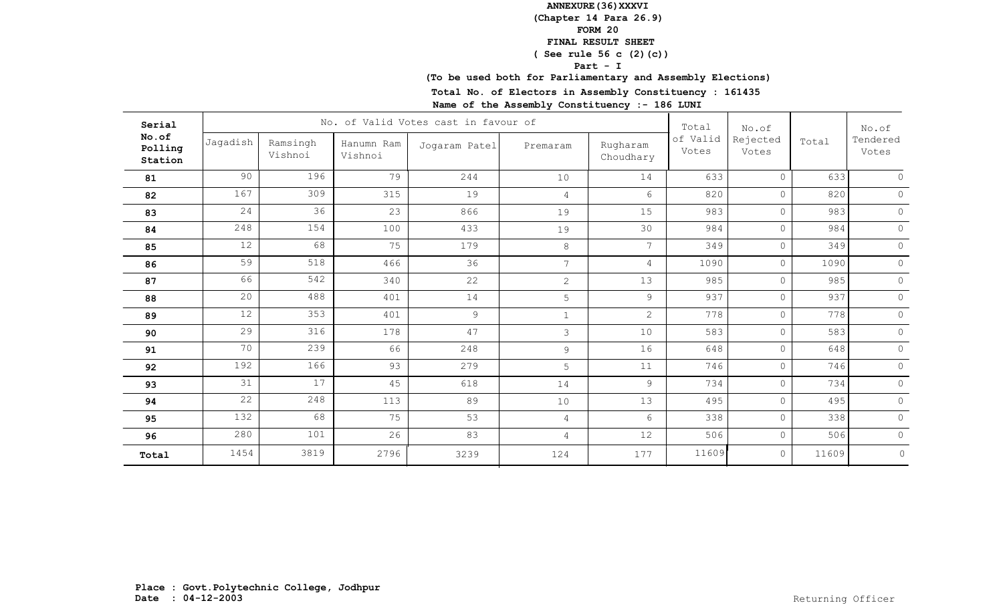## **(To be used both for Parliamentary and Assembly Elections)**

**Total No. of Electors in Assembly Constituency : 161435**

| Serial                      |          |                     |                       | No. of Valid Votes cast in favour of |                 |                       | Total             | No.of             |       | No.of<br>Tendered<br>Votes |
|-----------------------------|----------|---------------------|-----------------------|--------------------------------------|-----------------|-----------------------|-------------------|-------------------|-------|----------------------------|
| No.of<br>Polling<br>Station | Jagadish | Ramsingh<br>Vishnoi | Hanumn Ram<br>Vishnoi | Jogaram Patel                        | Premaram        | Rugharam<br>Choudhary | of Valid<br>Votes | Rejected<br>Votes | Total |                            |
| 81                          | 90       | 196                 | 79                    | 244                                  | 10              | 14                    | 633               | $\Omega$          | 633   |                            |
| 82                          | 167      | 309                 | 315                   | 19                                   | $\overline{4}$  | 6                     | 820               | $\circ$           | 820   | $\Omega$                   |
| 83                          | 24       | 36                  | 23                    | 866                                  | 19              | 15                    | 983               | $\circ$           | 983   | $\circ$                    |
| 84                          | 248      | 154                 | 100                   | 433                                  | 19              | 30                    | 984               | $\circ$           | 984   | $\circ$                    |
| 85                          | 12       | 68                  | 75                    | 179                                  | 8               | $7\overline{ }$       | 349               | $\circ$           | 349   | $\circ$                    |
| 86                          | 59       | 518                 | 466                   | 36                                   | $7\overline{ }$ | $\overline{4}$        | 1090              | $\circ$           | 1090  | $\circ$                    |
| 87                          | 66       | 542                 | 340                   | 22                                   | $\overline{2}$  | 13                    | 985               | $\circ$           | 985   | $\Omega$                   |
| 88                          | 20       | 488                 | 401                   | 14                                   | 5               | 9                     | 937               | $\circ$           | 937   | $\circ$                    |
| 89                          | 12       | 353                 | 401                   | 9                                    | $\mathbf{1}$    | $\mathbf{2}$          | 778               | $\circ$           | 778   | $\circ$                    |
| 90                          | 29       | 316                 | 178                   | 47                                   | 3               | 10                    | 583               | $\circ$           | 583   | $\circledcirc$             |
| 91                          | 70       | 239                 | 66                    | 248                                  | $\overline{9}$  | 16                    | 648               | $\circ$           | 648   | $\circ$                    |
| 92                          | 192      | 166                 | 93                    | 279                                  | 5               | 11                    | 746               | $\circ$           | 746   | $\circ$                    |
| 93                          | 31       | 17                  | 45                    | 618                                  | 14              | 9                     | 734               | $\circ$           | 734   | $\circ$                    |
| 94                          | 22       | 248                 | 113                   | 89                                   | 10              | 13                    | 495               | $\circ$           | 495   | $\Omega$                   |
| 95                          | 132      | 68                  | 75                    | 53                                   | $\overline{4}$  | 6                     | 338               | $\circ$           | 338   | $\circ$                    |
| 96                          | 280      | 101                 | 26                    | 83                                   | $\overline{4}$  | 12                    | 506               | $\circ$           | 506   | $\circ$                    |
| Total                       | 1454     | 3819                | 2796                  | 3239                                 | 124             | 177                   | 11609             | $\circ$           | 11609 | $\circ$                    |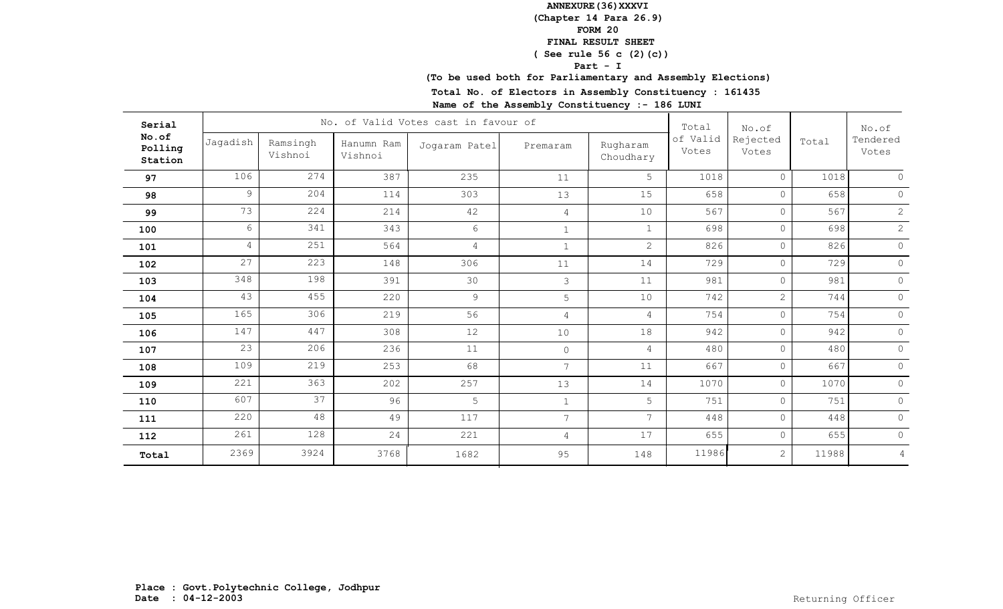## **(To be used both for Parliamentary and Assembly Elections)**

**Total No. of Electors in Assembly Constituency : 161435**

| Serial                      |                |                     |                       | No. of Valid Votes cast in favour of |                |                       | Total             | No.of             |       | No.of<br>Tendered<br>Votes |
|-----------------------------|----------------|---------------------|-----------------------|--------------------------------------|----------------|-----------------------|-------------------|-------------------|-------|----------------------------|
| No.of<br>Polling<br>Station | Jagadish       | Ramsingh<br>Vishnoi | Hanumn Ram<br>Vishnoi | Jogaram Patel                        | Premaram       | Rugharam<br>Choudhary | of Valid<br>Votes | Rejected<br>Votes | Total |                            |
| 97                          | 106            | 274                 | 387                   | 235                                  | 11             | 5                     | 1018              | $\Omega$          | 1018  | $\cap$                     |
| 98                          | 9              | 204                 | 114                   | 303                                  | 13             | 15                    | 658               | $\circ$           | 658   | $\Omega$                   |
| 99                          | 73             | 224                 | 214                   | 42                                   | $\overline{4}$ | 10                    | 567               | $\circ$           | 567   | $\overline{2}$             |
| 100                         | 6              | 341                 | 343                   | 6                                    | $\mathbf{1}$   | $\mathbf{1}$          | 698               | $\circ$           | 698   | $\mathbf{2}$               |
| 101                         | $\overline{4}$ | 251                 | 564                   | $\overline{4}$                       | $\mathbf{1}$   | $\overline{2}$        | 826               | $\circ$           | 826   | $\circ$                    |
| 102                         | 27             | 223                 | 148                   | 306                                  | 11             | 14                    | 729               | $\circ$           | 729   | $\circ$                    |
| 103                         | 348            | 198                 | 391                   | 30                                   | 3              | 11                    | 981               | $\circ$           | 981   | $\circ$                    |
| 104                         | 43             | 455                 | 220                   | $\mathcal{G}$                        | 5              | 10                    | 742               | 2                 | 744   | $\circ$                    |
| 105                         | 165            | 306                 | 219                   | 56                                   | $\overline{4}$ | $\overline{4}$        | 754               | $\circ$           | 754   | $\Omega$                   |
| 106                         | 147            | 447                 | 308                   | 12                                   | 10             | 18                    | 942               | $\circ$           | 942   | $\circ$                    |
| 107                         | 23             | 206                 | 236                   | 11                                   | $\circ$        | $\overline{4}$        | 480               | $\circ$           | 480   | $\circ$                    |
| 108                         | 109            | 219                 | 253                   | 68                                   | 7              | 11                    | 667               | $\circ$           | 667   | $\Omega$                   |
| 109                         | 221            | 363                 | 202                   | 257                                  | 13             | 14                    | 1070              | $\circ$           | 1070  | $\circ$                    |
| 110                         | 607            | 37                  | 96                    | 5                                    | $\mathbf{1}$   | 5                     | 751               | $\circ$           | 751   | $\circ$                    |
| 111                         | 220            | 48                  | 49                    | 117                                  | 7 <sup>7</sup> | $\overline{7}$        | 448               | $\circ$           | 448   | $\circ$                    |
| 112                         | 261            | 128                 | 24                    | 221                                  | $\overline{4}$ | 17                    | 655               | $\circ$           | 655   | $\circ$                    |
| Total                       | 2369           | 3924                | 3768                  | 1682                                 | 95             | 148                   | 11986             | 2                 | 11988 | $\overline{4}$             |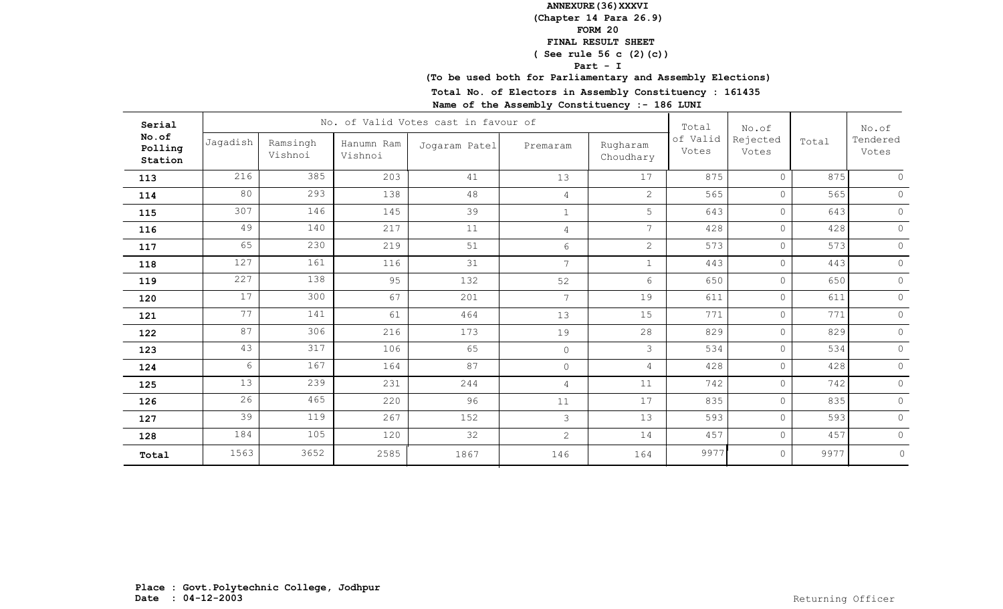## **(To be used both for Parliamentary and Assembly Elections)**

**Total No. of Electors in Assembly Constituency : 161435**

| Serial                      |          |                     |                       | No. of Valid Votes cast in favour of |                |                       | Total             | No.of             |       | No.of<br>Tendered<br>Votes |
|-----------------------------|----------|---------------------|-----------------------|--------------------------------------|----------------|-----------------------|-------------------|-------------------|-------|----------------------------|
| No.of<br>Polling<br>Station | Jagadish | Ramsingh<br>Vishnoi | Hanumn Ram<br>Vishnoi | Jogaram Patel                        | Premaram       | Rugharam<br>Choudhary | of Valid<br>Votes | Rejected<br>Votes | Total |                            |
| 113                         | 216      | 385                 | 203                   | 41                                   | 13             | 17                    | 875               | $\circ$           | 875   | $\cap$                     |
| 114                         | 80       | 293                 | 138                   | 48                                   | 4              | $\overline{2}$        | 565               | $\circ$           | 565   | $\circ$                    |
| 115                         | 307      | 146                 | 145                   | 39                                   | $\mathbf{1}$   | 5                     | 643               | $\circ$           | 643   | $\circ$                    |
| 116                         | 49       | 140                 | 217                   | 11                                   | $\overline{4}$ | 7                     | 428               | $\circ$           | 428   | $\circ$                    |
| 117                         | 65       | 230                 | 219                   | 51                                   | 6              | $\overline{2}$        | 573               | $\circ$           | 573   | $\circ$                    |
| 118                         | 127      | 161                 | 116                   | 31                                   | 7 <sup>1</sup> | $\mathbf{1}$          | 443               | $\circ$           | 443   | $\circ$                    |
| 119                         | 227      | 138                 | 95                    | 132                                  | 52             | 6                     | 650               | $\circ$           | 650   | $\Omega$                   |
| 120                         | 17       | 300                 | 67                    | 201                                  | $\overline{7}$ | 19                    | 611               | $\circ$           | 611   | $\circ$                    |
| 121                         | 77       | 141                 | 61                    | 464                                  | 13             | 15                    | 771               | $\circ$           | 771   | $\Omega$                   |
| 122                         | 87       | 306                 | 216                   | 173                                  | 19             | 28                    | 829               | $\circ$           | 829   | $\circ$                    |
| 123                         | 43       | 317                 | 106                   | 65                                   | $\circ$        | 3                     | 534               | $\circ$           | 534   | $\circ$                    |
| 124                         | 6        | 167                 | 164                   | 87                                   | $\circ$        | 4                     | 428               | $\circ$           | 428   | $\circ$                    |
| 125                         | 13       | 239                 | 231                   | 244                                  | $\overline{4}$ | 11                    | 742               | $\circ$           | 742   | $\circ$                    |
| 126                         | 26       | 465                 | 220                   | 96                                   | 11             | 17                    | 835               | $\circ$           | 835   | $\circ$                    |
| 127                         | 39       | 119                 | 267                   | 152                                  | 3              | 13                    | 593               | $\circ$           | 593   | $\circ$                    |
| 128                         | 184      | 105                 | 120                   | 32                                   | $\overline{2}$ | 14                    | 457               | $\circ$           | 457   | $\circ$                    |
| Total                       | 1563     | 3652                | 2585                  | 1867                                 | 146            | 164                   | 9977              | $\circ$           | 9977  | $\circ$                    |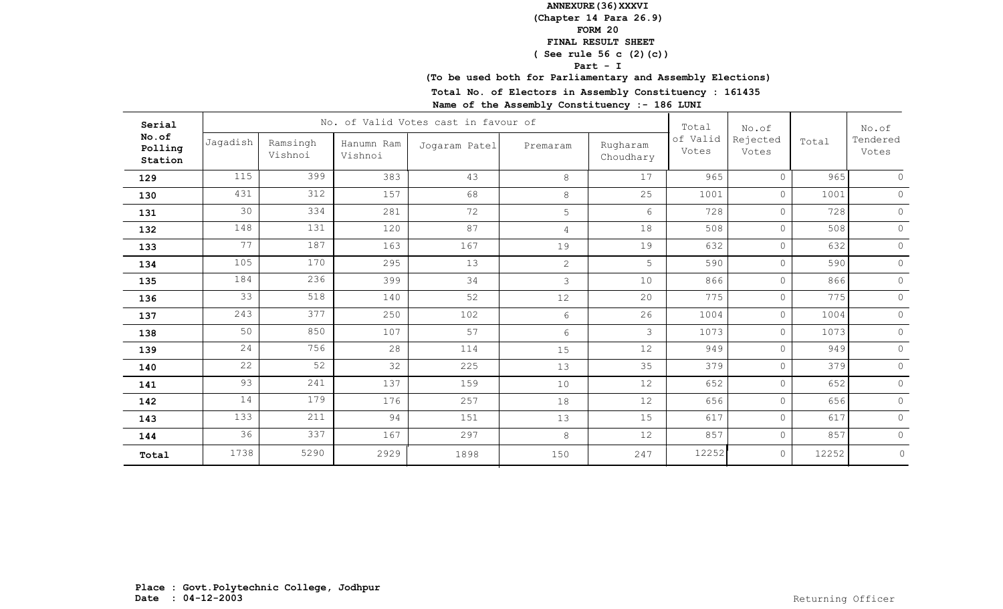## **(To be used both for Parliamentary and Assembly Elections)**

**Total No. of Electors in Assembly Constituency : 161435**

| Serial                      |          |                     |                       | No. of Valid Votes cast in favour of |                |                       | Total             | No.of             |       | No.of<br>Tendered<br>Votes |
|-----------------------------|----------|---------------------|-----------------------|--------------------------------------|----------------|-----------------------|-------------------|-------------------|-------|----------------------------|
| No.of<br>Polling<br>Station | Jagadish | Ramsingh<br>Vishnoi | Hanumn Ram<br>Vishnoi | Jogaram Patel                        | Premaram       | Rugharam<br>Choudhary | of Valid<br>Votes | Rejected<br>Votes | Total |                            |
| 129                         | 115      | 399                 | 383                   | 43                                   | 8              | 17                    | 965               | $\circ$           | 965   | $\cap$                     |
| 130                         | 431      | 312                 | 157                   | 68                                   | $8\,$          | 25                    | 1001              | $\circ$           | 1001  | $\circ$                    |
| 131                         | 30       | 334                 | 281                   | 72                                   | 5              | 6                     | 728               | $\circ$           | 728   | $\circ$                    |
| 132                         | 148      | 131                 | 120                   | 87                                   | $\overline{4}$ | 18                    | 508               | $\circ$           | 508   | $\Omega$                   |
| 133                         | 77       | 187                 | 163                   | 167                                  | 19             | 19                    | 632               | $\circ$           | 632   | $\circ$                    |
| 134                         | 105      | 170                 | 295                   | 13                                   | $\overline{2}$ | 5                     | 590               | $\circ$           | 590   | $\circ$                    |
| 135                         | 184      | 236                 | 399                   | 34                                   | 3              | 10                    | 866               | $\circ$           | 866   | $\Omega$                   |
| 136                         | 33       | 518                 | 140                   | 52                                   | 12             | 20                    | 775               | $\circ$           | 775   | $\circ$                    |
| 137                         | 243      | 377                 | 250                   | 102                                  | 6              | 26                    | 1004              | $\circ$           | 1004  | $\Omega$                   |
| 138                         | 50       | 850                 | 107                   | 57                                   | 6              | 3                     | 1073              | $\circ$           | 1073  | $\circ$                    |
| 139                         | 24       | 756                 | 28                    | 114                                  | 15             | 12                    | 949               | $\circ$           | 949   | $\circ$                    |
| 140                         | 22       | 52                  | 32                    | 225                                  | 13             | 35                    | 379               | $\circ$           | 379   | $\Omega$                   |
| 141                         | 93       | 241                 | 137                   | 159                                  | 10             | 12                    | 652               | $\circ$           | 652   | $\circ$                    |
| 142                         | 14       | 179                 | 176                   | 257                                  | 18             | 12                    | 656               | $\circ$           | 656   | $\Omega$                   |
| 143                         | 133      | 211                 | 94                    | 151                                  | 13             | 15                    | 617               | $\circ$           | 617   | $\circ$                    |
| 144                         | 36       | 337                 | 167                   | 297                                  | 8              | 12                    | 857               | $\circ$           | 857   | $\circ$                    |
| Total                       | 1738     | 5290                | 2929                  | 1898                                 | 150            | 247                   | 12252             | $\circ$           | 12252 | $\circ$                    |